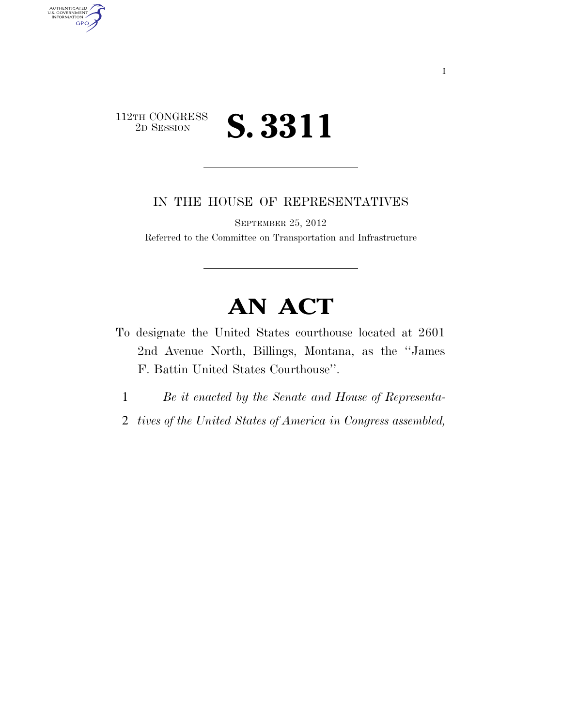

AUTHENTICATED<br>U.S. GOVERNMENT<br>INFORMATION GPO

IN THE HOUSE OF REPRESENTATIVES

SEPTEMBER 25, 2012

Referred to the Committee on Transportation and Infrastructure

## **AN ACT**

- To designate the United States courthouse located at 2601 2nd Avenue North, Billings, Montana, as the ''James F. Battin United States Courthouse''.
	- 1 *Be it enacted by the Senate and House of Representa-*
	- 2 *tives of the United States of America in Congress assembled,*